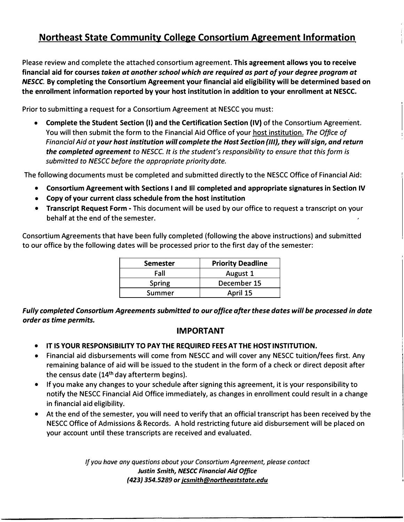# **Northeast State Community College Consortium Agreement Information**

Please review and complete the attached consortium agreement. **This agreement allows you to receive financial aid for courses** *taken at another school which are required as part of your degree program at NESCC.* **By completing the Consortium Agreement your financial aid eligibility will be determined based on the enrollment information reported by your host institution in addition to your enrollment at NESCC.** 

Prior to submitting a request for a Consortium Agreement at NESCC you must:

• **Complete the Student Section** (I) **and the Certification Section (IV)** of the Consortium Agreement. You will then submit the form to the Financial Aid Office of your host institution. *The Office of Financial Aid at your host institution will complete the Host Section {Ill}, they will sign, and return the completed agreement to NESCC. It is the student's responsibility to ensure that this form is submitted to NESCC before the appropriate priority date.*

The following documents must be completed and submitted directly to the NESCC Office of Financial Aid:

- **Consortium Agreement with Sections I and Ill completed and appropriate signatures in Section IV**
- **Copy of your current class schedule from the host institution**
- **Transcript Request Form**  This document will be used by our office to request a transcript on your behalf at the end of the semester.

Consortium Agreements that have been fully completed (following the above instructions) and submitted to our office by the following dates will be processed prior to the first day of the semester:

| <b>Semester</b> | <b>Priority Deadline</b> |
|-----------------|--------------------------|
| Fall            | August 1                 |
| <b>Spring</b>   | December 15              |
| Summer          | April 15                 |

*Fully completed Consortium Agreements submitted to our office after these dates will be processed in date order as time permits.* 

# **IMPORTANT**

- **IT IS YOUR RESPONSIBILITY TO PAY THE REQUIRED FEES AT THE HOST INSTITUTION.**
- Financial aid disbursements will come from NESCC and will cover any NESCC tuition/fees first. Any remaining balance of aid will be issued to the student in the form of a check or direct deposit after the census date  $(14<sup>th</sup>$  day afterterm begins).
- If you make any changes to your schedule after signing this agreement, it is your responsibility to notify the NESCC Financial Aid Office immediately, as changes in enrollment could result in a change in financial aid eligibility.
- At the end of the semester, you will need to verify that an official transcript has been received by the NESCC Office of Admissions **&** Records. A hold restricting future aid disbursement will be placed on your account until these transcripts are received and evaluated.

*If you have any questions about your Consortium Agreement, please contact Justin Smith, NESCC Financial Aid Office {423) 354.5289 or jcsmith@northeaststate.edu*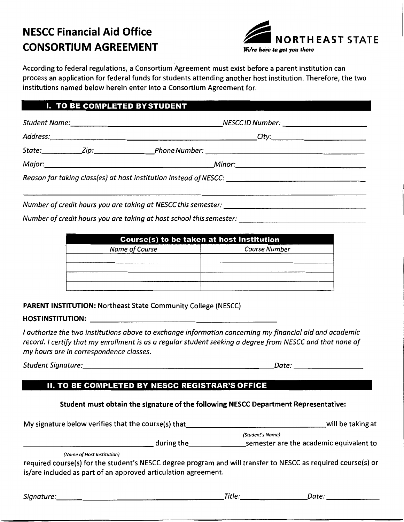# **NESCC Financial Aid Office CONSORTIUM AGREEMENT**



According to federal regulations, a Consortium Agreement must exist before a parent institution can process an application for federal funds for students attending another host institution. Therefore, the two institutions named below herein enter into a Consortium Agreement for:

### **I. TO BE COMPLETED BY STUDENT**

|  |  | Reason for taking class(es) at host institution instead of NESCC: __________________________________ |  |
|--|--|------------------------------------------------------------------------------------------------------|--|
|  |  |                                                                                                      |  |
|  |  | Number of credit hours you are taking at NESCC this semester: ___________________                    |  |

Number of credit hours you are taking at host school this semester: \_\_\_\_\_\_\_\_\_\_\_\_\_\_\_\_\_\_\_\_\_\_\_\_\_\_\_\_\_\_\_\_

| Course(s) to be taken at host institution |                      |  |  |
|-------------------------------------------|----------------------|--|--|
| Name of Course                            | <b>Course Number</b> |  |  |
|                                           |                      |  |  |
|                                           |                      |  |  |
|                                           |                      |  |  |
|                                           |                      |  |  |

**PARENT INSTITUTION: Northeast State Community College (NESCC)** 

#### 

I authorize the two institutions above to exchange information concerning my financial aid and academic record. I certify that my enrollment is as a regular student seeking a degree from NESCC and that none of my hours are in correspondence classes.

Student Signature: etc. but all the state of the state of the state of the state of the state of the state of

 $\_Date:$   $\_\_$ 

## **II. TO BE COMPLETED BY NESCC REGISTRAR'S OFFICE**

### Student must obtain the signature of the following NESCC Department Representative:

(Student's Name) during the **contained a semester** are the academic equivalent to (Name of Host Institution) required course(s) for the student's NESCC degree program and will transfer to NESCC as required course(s) or is/are included as part of an approved articulation agreement. Signature: Date: Discovery Contact Contact Library Point Contact Library Point Contact Library Point Contact Library Point Contact Library Point Contact Library Point Contact Library Point Contact Library Point Contact Lib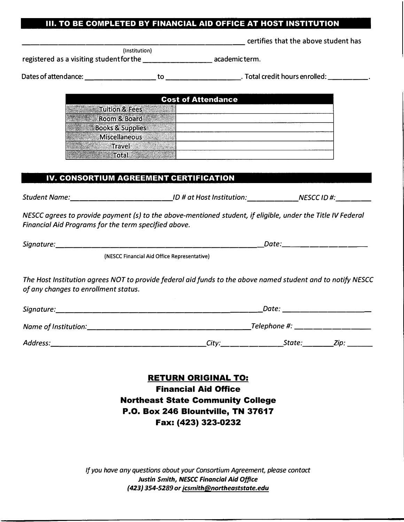#### **Ill. TO BE COMPLETED BY FINANCIAL AID OFFICE AT HOST INSTITUTION**

certifies that the above student has

(Institution) registered as a visiting student for the \_\_\_\_\_\_\_\_\_\_\_\_\_\_\_\_\_\_\_\_\_ academicterm.

Dates of attendance: -------- to ---------. Total credit hours enrolled: -----

| <b>Cost of Attendance</b>   |  |  |
|-----------------------------|--|--|
| <b>Tuition &amp; Fees</b>   |  |  |
| Room & Board                |  |  |
| <b>Books &amp; Supplies</b> |  |  |
| Miscellaneous               |  |  |
| Travel                      |  |  |
| rotal                       |  |  |

#### **IV. CONSORTIUM AGREEMENT CERTIFICATION**

*Student Name:* -----------*ID# at Host Institution:* ------ ---- *NESCC ID#:* 

*NESCC agrees to provide payment (s) to the above-mentioned student, if eligible, under the Title IV Federal Financial Aid Programs for the term specified above.* 

*Signature: \_\_\_\_\_\_\_\_\_\_\_\_\_\_\_\_\_\_\_\_\_\_\_ Date: \_\_\_\_\_\_\_\_ \_* 

(NESCC Financial Aid Office Representative)

*The Host Institution agrees NOT to provide federal aid funds to the above named student and to notify NESCC of any changes to enrollment status.* 

| Signature:           | Date: |                |      |
|----------------------|-------|----------------|------|
| Name of Institution: |       | Telephone #: _ |      |
| Address:             | City: | State:         | Zip: |

**RETURN ORIGINAL TO: Financial Aid Office Northeast State Community College P .0. Box 246 Blountville, TN 37617 Fax: (423) 323-0232** 

*If you have any questions about your Consortium Agreement, please contact Justin Smith, NESCC Financial Aid Office (423) 354-5289 or jcsmith@northeaststate.edu*